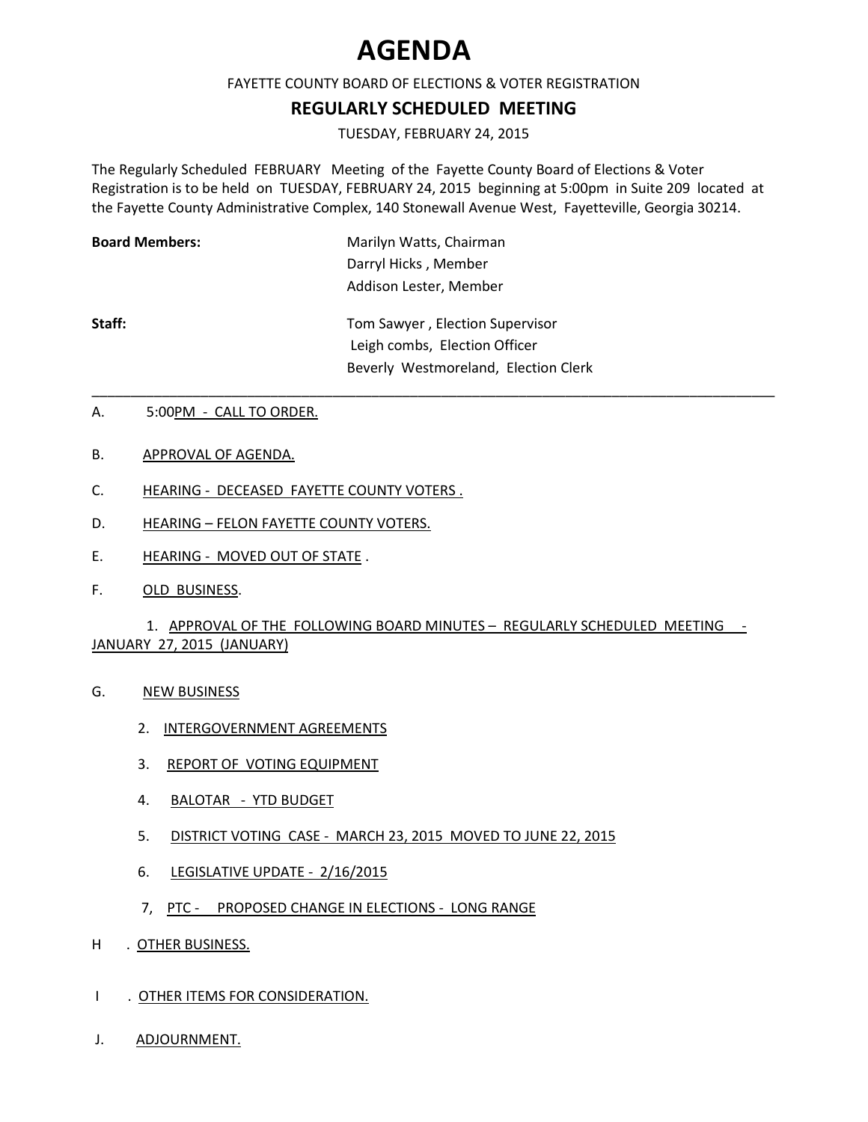## **AGENDA**

## FAYETTE COUNTY BOARD OF ELECTIONS & VOTER REGISTRATION

## **REGULARLY SCHEDULED MEETING**

TUESDAY, FEBRUARY 24, 2015

The Regularly Scheduled FEBRUARY Meeting of the Fayette County Board of Elections & Voter Registration is to be held on TUESDAY, FEBRUARY 24, 2015 beginning at 5:00pm in Suite 209 located at the Fayette County Administrative Complex, 140 Stonewall Avenue West, Fayetteville, Georgia 30214.

| <b>Board Members:</b> | Marilyn Watts, Chairman                                                                                  |
|-----------------------|----------------------------------------------------------------------------------------------------------|
|                       | Darryl Hicks, Member                                                                                     |
|                       | Addison Lester, Member                                                                                   |
| Staff:                | Tom Sawyer, Election Supervisor<br>Leigh combs, Election Officer<br>Beverly Westmoreland, Election Clerk |

\_\_\_\_\_\_\_\_\_\_\_\_\_\_\_\_\_\_\_\_\_\_\_\_\_\_\_\_\_\_\_\_\_\_\_\_\_\_\_\_\_\_\_\_\_\_\_\_\_\_\_\_\_\_\_\_\_\_\_\_\_\_\_\_\_\_\_\_\_\_\_\_\_\_\_\_\_\_\_\_\_\_\_\_\_\_\_\_

- A. 5:00PM CALL TO ORDER.
- B. APPROVAL OF AGENDA.
- C. HEARING DECEASED FAYETTE COUNTY VOTERS.
- D. HEARING FELON FAYETTE COUNTY VOTERS.
- E. HEARING MOVED OUT OF STATE.
- F. OLD BUSINESS.

## 1. APPROVAL OF THE FOLLOWING BOARD MINUTES – REGULARLY SCHEDULED MEETING - JANUARY 27, 2015 (JANUARY)

- G. NEW BUSINESS
	- 2. INTERGOVERNMENT AGREEMENTS
	- 3. REPORT OF VOTING EQUIPMENT
	- 4. BALOTAR YTD BUDGET
	- 5. DISTRICT VOTING CASE MARCH 23, 2015 MOVED TO JUNE 22, 2015
	- 6. LEGISLATIVE UPDATE 2/16/2015
	- 7, PTC PROPOSED CHANGE IN ELECTIONS LONG RANGE
- H . OTHER BUSINESS.
- I . OTHER ITEMS FOR CONSIDERATION.
- J. ADJOURNMENT.